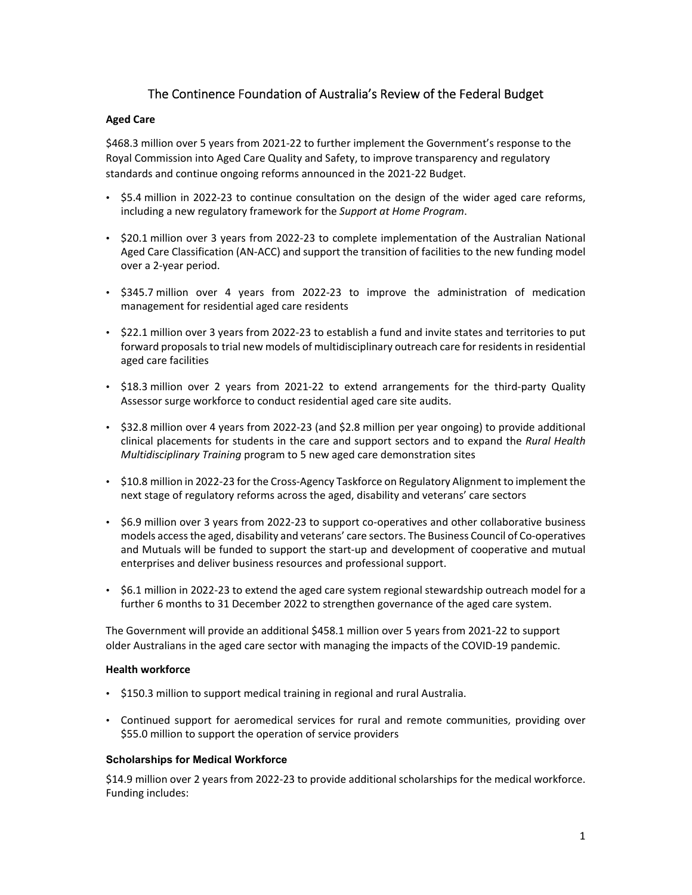# The Continence Foundation of Australia's Review of the Federal Budget

### **Aged Care**

\$468.3 million over 5 years from 2021-22 to further implement the Government's response to the Royal Commission into Aged Care Quality and Safety, to improve transparency and regulatory standards and continue ongoing reforms announced in the 2021‐22 Budget.

- \$5.4 million in 2022‐23 to continue consultation on the design of the wider aged care reforms, including a new regulatory framework for the *Support at Home Program*.
- \$20.1 million over 3 years from 2022‐23 to complete implementation of the Australian National Aged Care Classification (AN‐ACC) and support the transition of facilities to the new funding model over a 2‐year period.
- \$345.7 million over 4 years from 2022‐23 to improve the administration of medication management for residential aged care residents
- \$22.1 million over 3 years from 2022‐23 to establish a fund and invite states and territories to put forward proposals to trial new models of multidisciplinary outreach care for residents in residential aged care facilities
- \$18.3 million over 2 years from 2021-22 to extend arrangements for the third-party Quality Assessor surge workforce to conduct residential aged care site audits.
- \$32.8 million over 4 years from 2022‐23 (and \$2.8 million per year ongoing) to provide additional clinical placements for students in the care and support sectors and to expand the *Rural Health Multidisciplinary Training* program to 5 new aged care demonstration sites
- \$10.8 million in 2022‐23 for the Cross‐Agency Taskforce on Regulatory Alignment to implement the next stage of regulatory reforms across the aged, disability and veterans' care sectors
- \$6.9 million over 3 years from 2022-23 to support co-operatives and other collaborative business models accessthe aged, disability and veterans' care sectors. The Business Council of Co‐operatives and Mutuals will be funded to support the start‐up and development of cooperative and mutual enterprises and deliver business resources and professional support.
- \$6.1 million in 2022-23 to extend the aged care system regional stewardship outreach model for a further 6 months to 31 December 2022 to strengthen governance of the aged care system.

The Government will provide an additional \$458.1 million over 5 years from 2021‐22 to support older Australians in the aged care sector with managing the impacts of the COVID‐19 pandemic.

## **Health workforce**

- \$150.3 million to support medical training in regional and rural Australia.
- Continued support for aeromedical services for rural and remote communities, providing over \$55.0 million to support the operation of service providers

#### **Scholarships for Medical Workforce**

\$14.9 million over 2 years from 2022‐23 to provide additional scholarships for the medical workforce. Funding includes: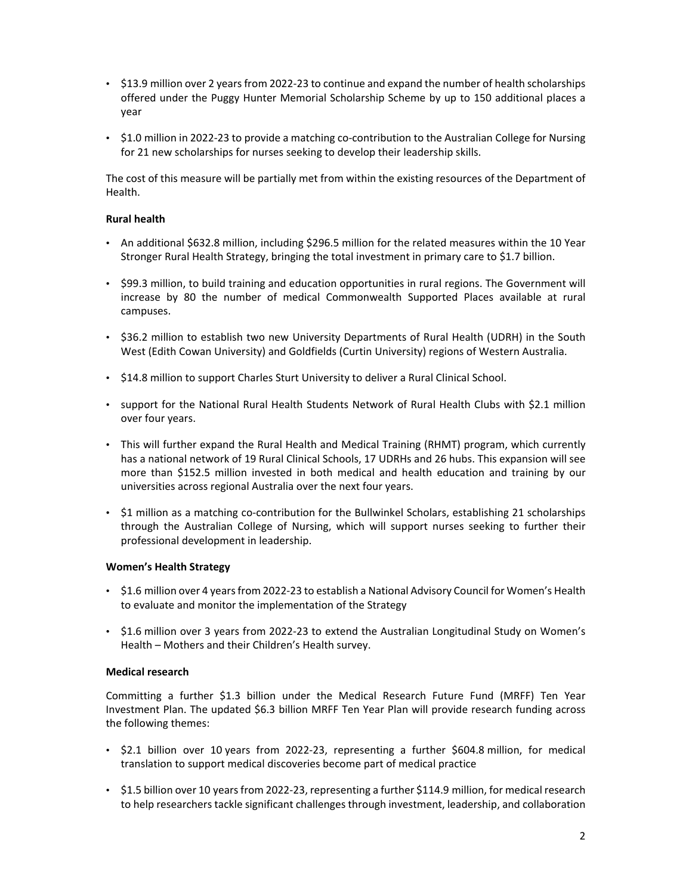- \$13.9 million over 2 years from 2022-23 to continue and expand the number of health scholarships offered under the Puggy Hunter Memorial Scholarship Scheme by up to 150 additional places a year
- \$1.0 million in 2022-23 to provide a matching co-contribution to the Australian College for Nursing for 21 new scholarships for nurses seeking to develop their leadership skills.

The cost of this measure will be partially met from within the existing resources of the Department of Health.

#### **Rural health**

- An additional \$632.8 million, including \$296.5 million for the related measures within the 10 Year Stronger Rural Health Strategy, bringing the total investment in primary care to \$1.7 billion.
- \$99.3 million, to build training and education opportunities in rural regions. The Government will increase by 80 the number of medical Commonwealth Supported Places available at rural campuses.
- \$36.2 million to establish two new University Departments of Rural Health (UDRH) in the South West (Edith Cowan University) and Goldfields (Curtin University) regions of Western Australia.
- \$14.8 million to support Charles Sturt University to deliver a Rural Clinical School.
- support for the National Rural Health Students Network of Rural Health Clubs with \$2.1 million over four years.
- This will further expand the Rural Health and Medical Training (RHMT) program, which currently has a national network of 19 Rural Clinical Schools, 17 UDRHs and 26 hubs. This expansion will see more than \$152.5 million invested in both medical and health education and training by our universities across regional Australia over the next four years.
- \$1 million as a matching co-contribution for the Bullwinkel Scholars, establishing 21 scholarships through the Australian College of Nursing, which will support nurses seeking to further their professional development in leadership.

#### **Women's Health Strategy**

- \$1.6 million over 4 years from 2022-23 to establish a National Advisory Council for Women's Health to evaluate and monitor the implementation of the Strategy
- \$1.6 million over 3 years from 2022‐23 to extend the Australian Longitudinal Study on Women's Health – Mothers and their Children's Health survey.

#### **Medical research**

Committing a further \$1.3 billion under the Medical Research Future Fund (MRFF) Ten Year Investment Plan. The updated \$6.3 billion MRFF Ten Year Plan will provide research funding across the following themes:

- \$2.1 billion over 10 years from 2022‐23, representing a further \$604.8 million, for medical translation to support medical discoveries become part of medical practice
- \$1.5 billion over 10 years from 2022-23, representing a further \$114.9 million, for medical research to help researchers tackle significant challenges through investment, leadership, and collaboration